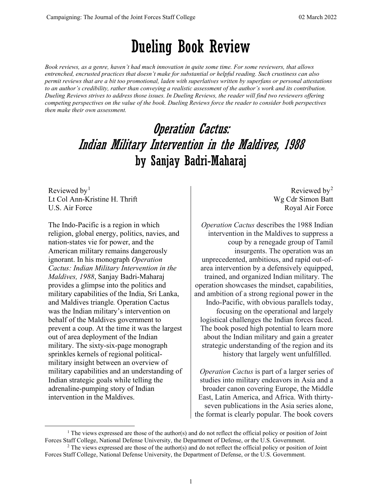## Dueling Book Review

*Book reviews, as a genre, haven't had much innovation in quite some time. For some reviewers, that allows entrenched, encrusted practices that doesn't make for substantial or helpful reading. Such crustiness can also permit reviews that are a bit too promotional, laden with superlatives written by superfans or personal attestations to an author's credibility, rather than conveying a realistic assessment of the author's work and its contribution. Dueling Reviews strives to address those issues. In Dueling Reviews, the reader will find two reviewers offering competing perspectives on the value of the book. Dueling Reviews force the reader to consider both perspectives then make their own assessment.*

## **Operation Cactus:** Indian Military Intervention in the Maldives, 1988 by Sanjay Badri-Maharaj

Reviewed by $<sup>1</sup>$  $<sup>1</sup>$  $<sup>1</sup>$ </sup> Lt Col Ann-Kristine H. Thrift U.S. Air Force

The Indo-Pacific is a region in which religion, global energy, politics, navies, and nation-states vie for power, and the American military remains dangerously ignorant. In his monograph *Operation Cactus: Indian Military Intervention in the Maldives, 1988*, Sanjay Badri-Maharaj provides a glimpse into the politics and military capabilities of the India, Sri Lanka, and Maldives triangle*.* Operation Cactus was the Indian military's intervention on behalf of the Maldives government to prevent a coup. At the time it was the largest out of area deployment of the Indian military. The sixty-six-page monograph sprinkles kernels of regional politicalmilitary insight between an overview of military capabilities and an understanding of Indian strategic goals while telling the adrenaline-pumping story of Indian intervention in the Maldives.

Reviewed by[2](#page-0-1) Wg Cdr Simon Batt Royal Air Force

*Operation Cactus* describes the 1988 Indian intervention in the Maldives to suppress a coup by a renegade group of Tamil insurgents. The operation was an unprecedented, ambitious, and rapid out-ofarea intervention by a defensively equipped, trained, and organized Indian military. The operation showcases the mindset, capabilities, and ambition of a strong regional power in the Indo-Pacific, with obvious parallels today, focusing on the operational and largely logistical challenges the Indian forces faced. The book posed high potential to learn more about the Indian military and gain a greater strategic understanding of the region and its history that largely went unfulfilled.

*Operation Cactus* is part of a larger series of studies into military endeavors in Asia and a broader canon covering Europe, the Middle East, Latin America, and Africa. With thirtyseven publications in the Asia series alone, the format is clearly popular. The book covers

<span id="page-0-0"></span><sup>1</sup> The views expressed are those of the author(s) and do not reflect the official policy or position of Joint Forces Staff College, National Defense University, the Department of Defense, or the U.S. Government.

<span id="page-0-1"></span><sup>&</sup>lt;sup>2</sup> The views expressed are those of the author(s) and do not reflect the official policy or position of Joint Forces Staff College, National Defense University, the Department of Defense, or the U.S. Government.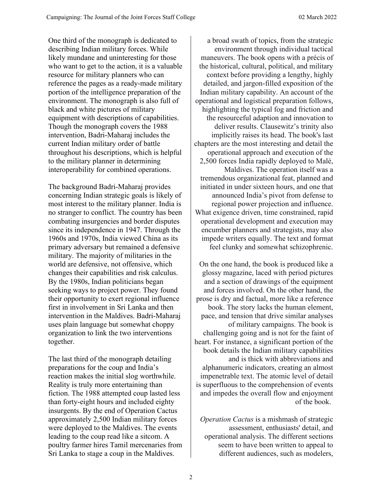One third of the monograph is dedicated to describing Indian military forces. While likely mundane and uninteresting for those who want to get to the action, it is a valuable resource for military planners who can reference the pages as a ready-made military portion of the intelligence preparation of the environment. The monograph is also full of black and white pictures of military equipment with descriptions of capabilities. Though the monograph covers the 1988 intervention, Badri-Maharaj includes the current Indian military order of battle throughout his descriptions, which is helpful to the military planner in determining interoperability for combined operations.

The background Badri-Maharaj provides concerning Indian strategic goals is likely of most interest to the military planner. India is no stranger to conflict. The country has been combating insurgencies and border disputes since its independence in 1947. Through the 1960s and 1970s, India viewed China as its primary adversary but remained a defensive military. The majority of militaries in the world are defensive, not offensive, which changes their capabilities and risk calculus. By the 1980s, Indian politicians began seeking ways to project power. They found their opportunity to exert regional influence first in involvement in Sri Lanka and then intervention in the Maldives. Badri-Maharaj uses plain language but somewhat choppy organization to link the two interventions together.

The last third of the monograph detailing preparations for the coup and India's reaction makes the initial slog worthwhile. Reality is truly more entertaining than fiction. The 1988 attempted coup lasted less than forty-eight hours and included eighty insurgents. By the end of Operation Cactus approximately 2,500 Indian military forces were deployed to the Maldives. The events leading to the coup read like a sitcom. A poultry farmer hires Tamil mercenaries from Sri Lanka to stage a coup in the Maldives.

a broad swath of topics, from the strategic environment through individual tactical maneuvers. The book opens with a précis of the historical, cultural, political, and military context before providing a lengthy, highly detailed, and jargon-filled exposition of the Indian military capability. An account of the operational and logistical preparation follows, highlighting the typical fog and friction and the resourceful adaption and innovation to deliver results. Clausewitz's trinity also implicitly raises its head. The book's last chapters are the most interesting and detail the operational approach and execution of the 2,500 forces India rapidly deployed to Malé, Maldives. The operation itself was a tremendous organizational feat, planned and initiated in under sixteen hours, and one that announced India's pivot from defense to regional power projection and influence. What exigence driven, time constrained, rapid operational development and execution may encumber planners and strategists, may also impede writers equally. The text and format feel clunky and somewhat schizophrenic.

On the one hand, the book is produced like a glossy magazine, laced with period pictures and a section of drawings of the equipment and forces involved. On the other hand, the prose is dry and factual, more like a reference book. The story lacks the human element, pace, and tension that drive similar analyses of military campaigns. The book is challenging going and is not for the faint of heart. For instance, a significant portion of the book details the Indian military capabilities and is thick with abbreviations and alphanumeric indicators, creating an almost impenetrable text. The atomic level of detail is superfluous to the comprehension of events and impedes the overall flow and enjoyment of the book.

*Operation Cactus* is a mishmash of strategic assessment, enthusiasts' detail, and operational analysis. The different sections seem to have been written to appeal to different audiences, such as modelers,